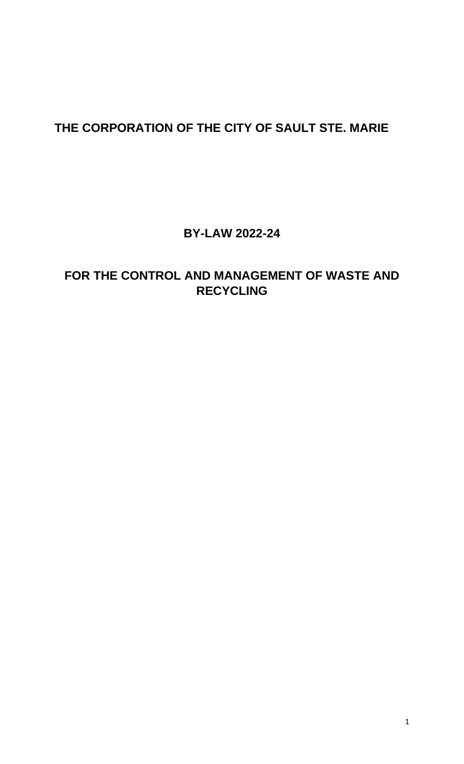# **THE CORPORATION OF THE CITY OF SAULT STE. MARIE**

**BY-LAW 2022-24**

## **FOR THE CONTROL AND MANAGEMENT OF WASTE AND RECYCLING**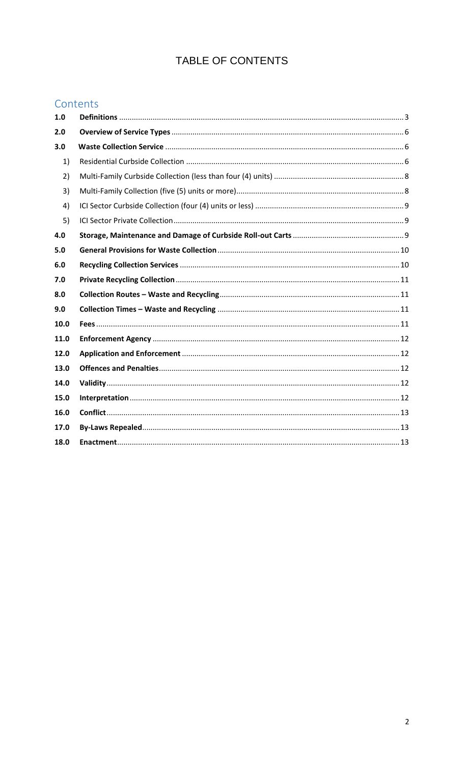### TABLE OF CONTENTS

### Contents

| 1.0  |  |
|------|--|
| 2.0  |  |
| 3.0  |  |
| 1)   |  |
| 2)   |  |
| 3)   |  |
| 4)   |  |
| 5)   |  |
| 4.0  |  |
| 5.0  |  |
| 6.0  |  |
| 7.0  |  |
| 8.0  |  |
| 9.0  |  |
| 10.0 |  |
| 11.0 |  |
| 12.0 |  |
| 13.0 |  |
| 14.0 |  |
| 15.0 |  |
| 16.0 |  |
| 17.0 |  |
| 18.0 |  |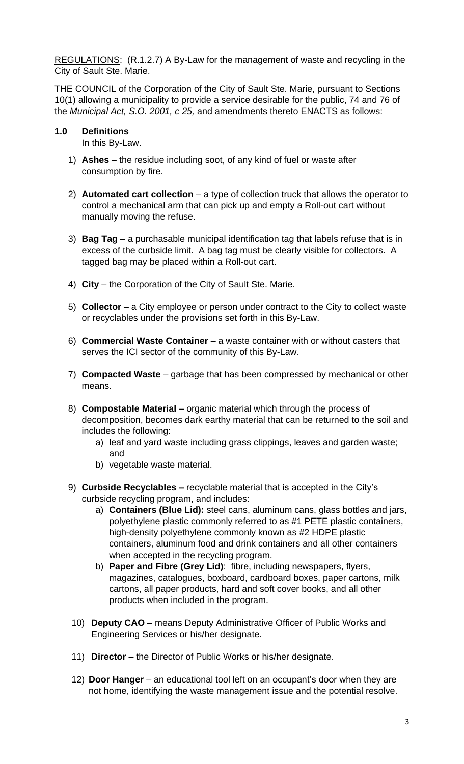REGULATIONS: (R.1.2.7) A By-Law for the management of waste and recycling in the City of Sault Ste. Marie.

THE COUNCIL of the Corporation of the City of Sault Ste. Marie, pursuant to Sections 10(1) allowing a municipality to provide a service desirable for the public, 74 and 76 of the *Municipal Act, S.O. 2001, c 25,* and amendments thereto ENACTS as follows:

#### <span id="page-2-0"></span>**1.0 Definitions**

In this By-Law.

- 1) **Ashes** the residue including soot, of any kind of fuel or waste after consumption by fire.
- 2) **Automated cart collection** a type of collection truck that allows the operator to control a mechanical arm that can pick up and empty a Roll-out cart without manually moving the refuse.
- 3) **Bag Tag**  a purchasable municipal identification tag that labels refuse that is in excess of the curbside limit. A bag tag must be clearly visible for collectors. A tagged bag may be placed within a Roll-out cart.
- 4) **City**  the Corporation of the City of Sault Ste. Marie.
- 5) **Collector**  a City employee or person under contract to the City to collect waste or recyclables under the provisions set forth in this By-Law.
- 6) **Commercial Waste Container**  a waste container with or without casters that serves the ICI sector of the community of this By-Law.
- 7) **Compacted Waste** garbage that has been compressed by mechanical or other means.
- 8) **Compostable Material** organic material which through the process of decomposition, becomes dark earthy material that can be returned to the soil and includes the following:
	- a) leaf and yard waste including grass clippings, leaves and garden waste; and
	- b) vegetable waste material.
- 9) **Curbside Recyclables –** recyclable material that is accepted in the City's curbside recycling program, and includes:
	- a) **Containers (Blue Lid):** steel cans, aluminum cans, glass bottles and jars, polyethylene plastic commonly referred to as #1 PETE plastic containers, high-density polyethylene commonly known as #2 HDPE plastic containers, aluminum food and drink containers and all other containers when accepted in the recycling program.
	- b) **Paper and Fibre (Grey Lid)**: fibre, including newspapers, flyers, magazines, catalogues, boxboard, cardboard boxes, paper cartons, milk cartons, all paper products, hard and soft cover books, and all other products when included in the program.
- 10) **Deputy CAO** means Deputy Administrative Officer of Public Works and Engineering Services or his/her designate.
- 11) **Director** the Director of Public Works or his/her designate.
- 12) **Door Hanger** an educational tool left on an occupant's door when they are not home, identifying the waste management issue and the potential resolve.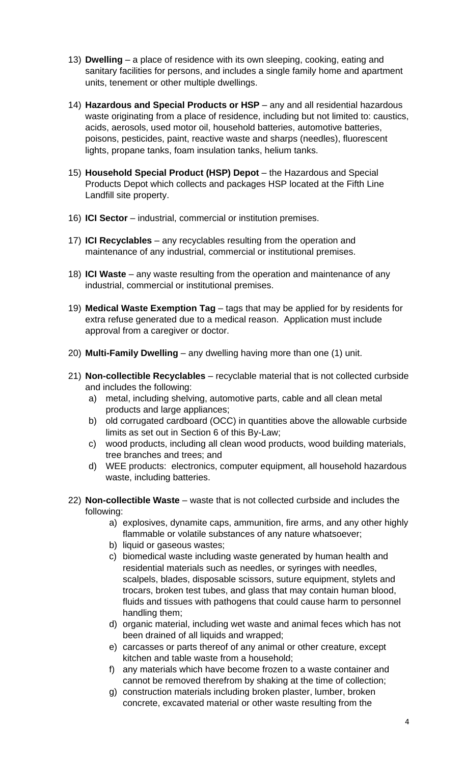- 13) **Dwelling**  a place of residence with its own sleeping, cooking, eating and sanitary facilities for persons, and includes a single family home and apartment units, tenement or other multiple dwellings.
- 14) **Hazardous and Special Products or HSP** any and all residential hazardous waste originating from a place of residence, including but not limited to: caustics, acids, aerosols, used motor oil, household batteries, automotive batteries, poisons, pesticides, paint, reactive waste and sharps (needles), fluorescent lights, propane tanks, foam insulation tanks, helium tanks.
- 15) **Household Special Product (HSP) Depot** the Hazardous and Special Products Depot which collects and packages HSP located at the Fifth Line Landfill site property.
- 16) **ICI Sector** industrial, commercial or institution premises.
- 17) **ICI Recyclables** any recyclables resulting from the operation and maintenance of any industrial, commercial or institutional premises.
- 18) **ICI Waste** any waste resulting from the operation and maintenance of any industrial, commercial or institutional premises.
- 19) **Medical Waste Exemption Tag** tags that may be applied for by residents for extra refuse generated due to a medical reason. Application must include approval from a caregiver or doctor.
- 20) **Multi-Family Dwelling** any dwelling having more than one (1) unit.
- 21) **Non-collectible Recyclables** recyclable material that is not collected curbside and includes the following:
	- a) metal, including shelving, automotive parts, cable and all clean metal products and large appliances;
	- b) old corrugated cardboard (OCC) in quantities above the allowable curbside limits as set out in Section 6 of this By-Law;
	- c) wood products, including all clean wood products, wood building materials, tree branches and trees; and
	- d) WEE products: electronics, computer equipment, all household hazardous waste, including batteries.
- 22) **Non-collectible Waste** waste that is not collected curbside and includes the following:
	- a) explosives, dynamite caps, ammunition, fire arms, and any other highly flammable or volatile substances of any nature whatsoever;
	- b) liquid or gaseous wastes;
	- c) biomedical waste including waste generated by human health and residential materials such as needles, or syringes with needles, scalpels, blades, disposable scissors, suture equipment, stylets and trocars, broken test tubes, and glass that may contain human blood, fluids and tissues with pathogens that could cause harm to personnel handling them;
	- d) organic material, including wet waste and animal feces which has not been drained of all liquids and wrapped;
	- e) carcasses or parts thereof of any animal or other creature, except kitchen and table waste from a household;
	- f) any materials which have become frozen to a waste container and cannot be removed therefrom by shaking at the time of collection;
	- g) construction materials including broken plaster, lumber, broken concrete, excavated material or other waste resulting from the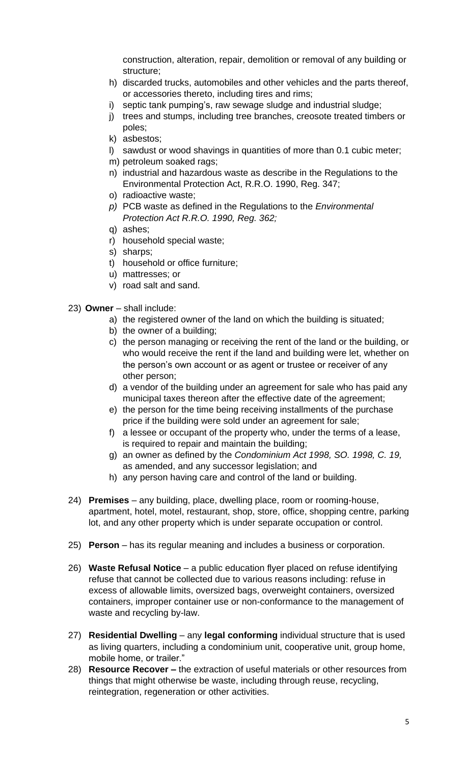construction, alteration, repair, demolition or removal of any building or structure;

- h) discarded trucks, automobiles and other vehicles and the parts thereof, or accessories thereto, including tires and rims;
- i) septic tank pumping's, raw sewage sludge and industrial sludge;
- j) trees and stumps, including tree branches, creosote treated timbers or poles;
- k) asbestos;
- l) sawdust or wood shavings in quantities of more than 0.1 cubic meter;
- m) petroleum soaked rags;
- n) industrial and hazardous waste as describe in the Regulations to the Environmental Protection Act, R.R.O. 1990, Reg. 347;
- o) radioactive waste;
- *p)* PCB waste as defined in the Regulations to the *Environmental Protection Act R.R.O. 1990, Reg. 362;*
- q) ashes;
- r) household special waste;
- s) sharps;
- t) household or office furniture;
- u) mattresses; or
- v) road salt and sand.
- 23) **Owner**  shall include:
	- a) the registered owner of the land on which the building is situated;
	- b) the owner of a building;
	- c) the person managing or receiving the rent of the land or the building, or who would receive the rent if the land and building were let, whether on the person's own account or as agent or trustee or receiver of any other person;
	- d) a vendor of the building under an agreement for sale who has paid any municipal taxes thereon after the effective date of the agreement;
	- e) the person for the time being receiving installments of the purchase price if the building were sold under an agreement for sale;
	- f) a lessee or occupant of the property who, under the terms of a lease, is required to repair and maintain the building;
	- g) an owner as defined by the *Condominium Act 1998, SO. 1998, C. 19,* as amended, and any successor legislation; and
	- h) any person having care and control of the land or building.
- 24) **Premises**  any building, place, dwelling place, room or rooming-house, apartment, hotel, motel, restaurant, shop, store, office, shopping centre, parking lot, and any other property which is under separate occupation or control.
- 25) **Person**  has its regular meaning and includes a business or corporation.
- 26) **Waste Refusal Notice**  a public education flyer placed on refuse identifying refuse that cannot be collected due to various reasons including: refuse in excess of allowable limits, oversized bags, overweight containers, oversized containers, improper container use or non-conformance to the management of waste and recycling by-law.
- 27) **Residential Dwelling** any **legal conforming** individual structure that is used as living quarters, including a condominium unit, cooperative unit, group home, mobile home, or trailer."
- 28) **Resource Recover –** the extraction of useful materials or other resources from things that might otherwise be waste, including through reuse, recycling, reintegration, regeneration or other activities.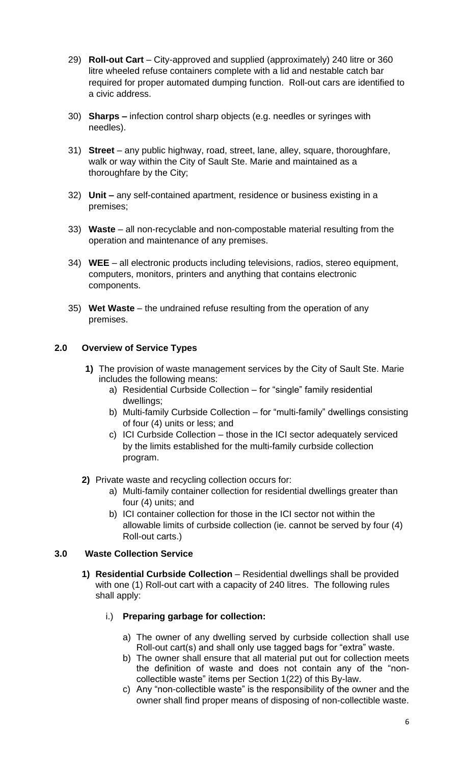- 29) **Roll-out Cart** City-approved and supplied (approximately) 240 litre or 360 litre wheeled refuse containers complete with a lid and nestable catch bar required for proper automated dumping function. Roll-out cars are identified to a civic address.
- 30) **Sharps –** infection control sharp objects (e.g. needles or syringes with needles).
- 31) **Street**  any public highway, road, street, lane, alley, square, thoroughfare, walk or way within the City of Sault Ste. Marie and maintained as a thoroughfare by the City;
- 32) **Unit –** any self-contained apartment, residence or business existing in a premises;
- 33) **Waste** all non-recyclable and non-compostable material resulting from the operation and maintenance of any premises.
- 34) **WEE** all electronic products including televisions, radios, stereo equipment, computers, monitors, printers and anything that contains electronic components.
- 35) **Wet Waste** the undrained refuse resulting from the operation of any premises.

#### <span id="page-5-0"></span>**2.0 Overview of Service Types**

- **1)** The provision of waste management services by the City of Sault Ste. Marie includes the following means:
	- a) Residential Curbside Collection for "single" family residential dwellings;
	- b) Multi-family Curbside Collection for "multi-family" dwellings consisting of four (4) units or less; and
	- c) ICI Curbside Collection those in the ICI sector adequately serviced by the limits established for the multi-family curbside collection program.
- **2)** Private waste and recycling collection occurs for:
	- a) Multi-family container collection for residential dwellings greater than four (4) units; and
	- b) ICI container collection for those in the ICI sector not within the allowable limits of curbside collection (ie. cannot be served by four (4) Roll-out carts.)

#### <span id="page-5-2"></span><span id="page-5-1"></span>**3.0 Waste Collection Service**

**1) Residential Curbside Collection** – Residential dwellings shall be provided with one (1) Roll-out cart with a capacity of 240 litres. The following rules shall apply:

#### i.) **Preparing garbage for collection:**

- a) The owner of any dwelling served by curbside collection shall use Roll-out cart(s) and shall only use tagged bags for "extra" waste.
- b) The owner shall ensure that all material put out for collection meets the definition of waste and does not contain any of the "noncollectible waste" items per Section 1(22) of this By-law.
- c) Any "non-collectible waste" is the responsibility of the owner and the owner shall find proper means of disposing of non-collectible waste.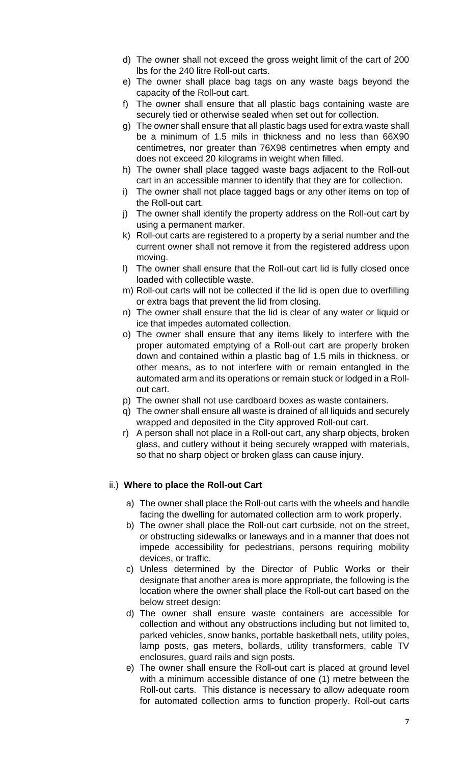- d) The owner shall not exceed the gross weight limit of the cart of 200 lbs for the 240 litre Roll-out carts.
- e) The owner shall place bag tags on any waste bags beyond the capacity of the Roll-out cart.
- f) The owner shall ensure that all plastic bags containing waste are securely tied or otherwise sealed when set out for collection.
- g) The owner shall ensure that all plastic bags used for extra waste shall be a minimum of 1.5 mils in thickness and no less than 66X90 centimetres, nor greater than 76X98 centimetres when empty and does not exceed 20 kilograms in weight when filled.
- h) The owner shall place tagged waste bags adjacent to the Roll-out cart in an accessible manner to identify that they are for collection.
- i) The owner shall not place tagged bags or any other items on top of the Roll-out cart.
- j) The owner shall identify the property address on the Roll-out cart by using a permanent marker.
- k) Roll-out carts are registered to a property by a serial number and the current owner shall not remove it from the registered address upon moving.
- l) The owner shall ensure that the Roll-out cart lid is fully closed once loaded with collectible waste.
- m) Roll-out carts will not be collected if the lid is open due to overfilling or extra bags that prevent the lid from closing.
- n) The owner shall ensure that the lid is clear of any water or liquid or ice that impedes automated collection.
- o) The owner shall ensure that any items likely to interfere with the proper automated emptying of a Roll-out cart are properly broken down and contained within a plastic bag of 1.5 mils in thickness, or other means, as to not interfere with or remain entangled in the automated arm and its operations or remain stuck or lodged in a Rollout cart.
- p) The owner shall not use cardboard boxes as waste containers.
- q) The owner shall ensure all waste is drained of all liquids and securely wrapped and deposited in the City approved Roll-out cart.
- r) A person shall not place in a Roll-out cart, any sharp objects, broken glass, and cutlery without it being securely wrapped with materials, so that no sharp object or broken glass can cause injury.

#### ii.) **Where to place the Roll-out Cart**

- a) The owner shall place the Roll-out carts with the wheels and handle facing the dwelling for automated collection arm to work properly.
- b) The owner shall place the Roll-out cart curbside, not on the street, or obstructing sidewalks or laneways and in a manner that does not impede accessibility for pedestrians, persons requiring mobility devices, or traffic.
- c) Unless determined by the Director of Public Works or their designate that another area is more appropriate, the following is the location where the owner shall place the Roll-out cart based on the below street design:
- d) The owner shall ensure waste containers are accessible for collection and without any obstructions including but not limited to, parked vehicles, snow banks, portable basketball nets, utility poles, lamp posts, gas meters, bollards, utility transformers, cable TV enclosures, guard rails and sign posts.
- e) The owner shall ensure the Roll-out cart is placed at ground level with a minimum accessible distance of one (1) metre between the Roll-out carts. This distance is necessary to allow adequate room for automated collection arms to function properly. Roll-out carts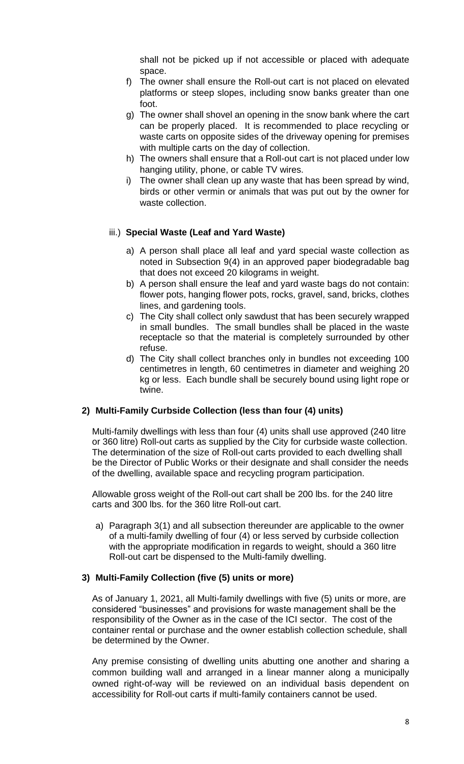shall not be picked up if not accessible or placed with adequate space.

- f) The owner shall ensure the Roll-out cart is not placed on elevated platforms or steep slopes, including snow banks greater than one foot.
- g) The owner shall shovel an opening in the snow bank where the cart can be properly placed. It is recommended to place recycling or waste carts on opposite sides of the driveway opening for premises with multiple carts on the day of collection.
- h) The owners shall ensure that a Roll-out cart is not placed under low hanging utility, phone, or cable TV wires.
- i) The owner shall clean up any waste that has been spread by wind, birds or other vermin or animals that was put out by the owner for waste collection.

#### iii.) **Special Waste (Leaf and Yard Waste)**

- a) A person shall place all leaf and yard special waste collection as noted in Subsection 9(4) in an approved paper biodegradable bag that does not exceed 20 kilograms in weight.
- b) A person shall ensure the leaf and yard waste bags do not contain: flower pots, hanging flower pots, rocks, gravel, sand, bricks, clothes lines, and gardening tools.
- c) The City shall collect only sawdust that has been securely wrapped in small bundles. The small bundles shall be placed in the waste receptacle so that the material is completely surrounded by other refuse.
- d) The City shall collect branches only in bundles not exceeding 100 centimetres in length, 60 centimetres in diameter and weighing 20 kg or less. Each bundle shall be securely bound using light rope or twine.

#### <span id="page-7-0"></span>**2) Multi-Family Curbside Collection (less than four (4) units)**

Multi-family dwellings with less than four (4) units shall use approved (240 litre or 360 litre) Roll-out carts as supplied by the City for curbside waste collection. The determination of the size of Roll-out carts provided to each dwelling shall be the Director of Public Works or their designate and shall consider the needs of the dwelling, available space and recycling program participation.

Allowable gross weight of the Roll-out cart shall be 200 lbs. for the 240 litre carts and 300 lbs. for the 360 litre Roll-out cart.

a) Paragraph 3(1) and all subsection thereunder are applicable to the owner of a multi-family dwelling of four (4) or less served by curbside collection with the appropriate modification in regards to weight, should a 360 litre Roll-out cart be dispensed to the Multi-family dwelling.

#### <span id="page-7-1"></span>**3) Multi-Family Collection (five (5) units or more)**

As of January 1, 2021, all Multi-family dwellings with five (5) units or more, are considered "businesses" and provisions for waste management shall be the responsibility of the Owner as in the case of the ICI sector. The cost of the container rental or purchase and the owner establish collection schedule, shall be determined by the Owner.

Any premise consisting of dwelling units abutting one another and sharing a common building wall and arranged in a linear manner along a municipally owned right-of-way will be reviewed on an individual basis dependent on accessibility for Roll-out carts if multi-family containers cannot be used.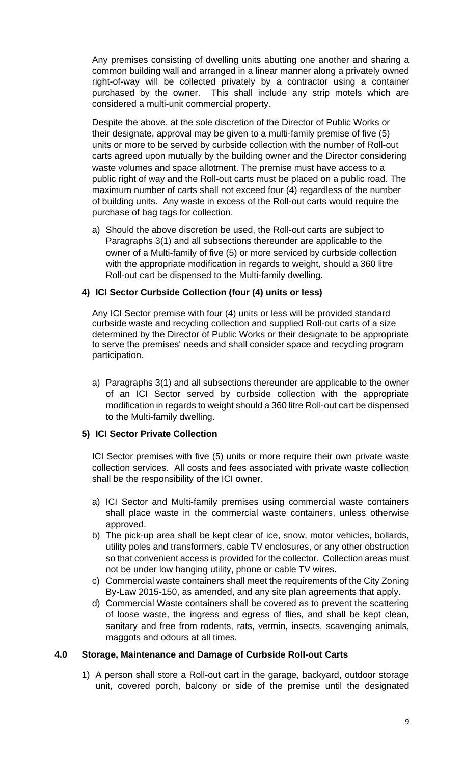Any premises consisting of dwelling units abutting one another and sharing a common building wall and arranged in a linear manner along a privately owned right-of-way will be collected privately by a contractor using a container purchased by the owner. This shall include any strip motels which are considered a multi-unit commercial property.

Despite the above, at the sole discretion of the Director of Public Works or their designate, approval may be given to a multi-family premise of five (5) units or more to be served by curbside collection with the number of Roll-out carts agreed upon mutually by the building owner and the Director considering waste volumes and space allotment. The premise must have access to a public right of way and the Roll-out carts must be placed on a public road. The maximum number of carts shall not exceed four (4) regardless of the number of building units. Any waste in excess of the Roll-out carts would require the purchase of bag tags for collection.

a) Should the above discretion be used, the Roll-out carts are subject to Paragraphs 3(1) and all subsections thereunder are applicable to the owner of a Multi-family of five (5) or more serviced by curbside collection with the appropriate modification in regards to weight, should a 360 litre Roll-out cart be dispensed to the Multi-family dwelling.

#### <span id="page-8-0"></span>**4) ICI Sector Curbside Collection (four (4) units or less)**

Any ICI Sector premise with four (4) units or less will be provided standard curbside waste and recycling collection and supplied Roll-out carts of a size determined by the Director of Public Works or their designate to be appropriate to serve the premises' needs and shall consider space and recycling program participation.

a) Paragraphs 3(1) and all subsections thereunder are applicable to the owner of an ICI Sector served by curbside collection with the appropriate modification in regards to weight should a 360 litre Roll-out cart be dispensed to the Multi-family dwelling.

#### <span id="page-8-1"></span>**5) ICI Sector Private Collection**

ICI Sector premises with five (5) units or more require their own private waste collection services. All costs and fees associated with private waste collection shall be the responsibility of the ICI owner.

- a) ICI Sector and Multi-family premises using commercial waste containers shall place waste in the commercial waste containers, unless otherwise approved.
- b) The pick-up area shall be kept clear of ice, snow, motor vehicles, bollards, utility poles and transformers, cable TV enclosures, or any other obstruction so that convenient access is provided for the collector. Collection areas must not be under low hanging utility, phone or cable TV wires.
- c) Commercial waste containers shall meet the requirements of the City Zoning By-Law 2015-150, as amended, and any site plan agreements that apply.
- d) Commercial Waste containers shall be covered as to prevent the scattering of loose waste, the ingress and egress of flies, and shall be kept clean, sanitary and free from rodents, rats, vermin, insects, scavenging animals, maggots and odours at all times.

#### <span id="page-8-2"></span>**4.0 Storage, Maintenance and Damage of Curbside Roll-out Carts**

1) A person shall store a Roll-out cart in the garage, backyard, outdoor storage unit, covered porch, balcony or side of the premise until the designated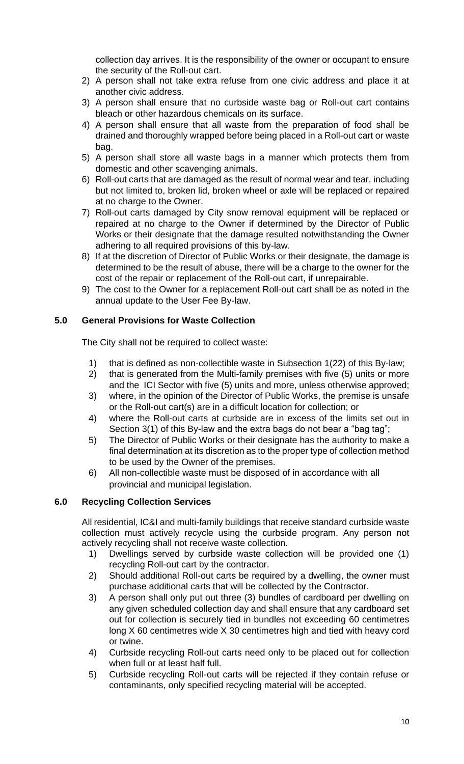collection day arrives. It is the responsibility of the owner or occupant to ensure the security of the Roll-out cart.

- 2) A person shall not take extra refuse from one civic address and place it at another civic address.
- 3) A person shall ensure that no curbside waste bag or Roll-out cart contains bleach or other hazardous chemicals on its surface.
- 4) A person shall ensure that all waste from the preparation of food shall be drained and thoroughly wrapped before being placed in a Roll-out cart or waste bag.
- 5) A person shall store all waste bags in a manner which protects them from domestic and other scavenging animals.
- 6) Roll-out carts that are damaged as the result of normal wear and tear, including but not limited to, broken lid, broken wheel or axle will be replaced or repaired at no charge to the Owner.
- 7) Roll-out carts damaged by City snow removal equipment will be replaced or repaired at no charge to the Owner if determined by the Director of Public Works or their designate that the damage resulted notwithstanding the Owner adhering to all required provisions of this by-law.
- 8) If at the discretion of Director of Public Works or their designate, the damage is determined to be the result of abuse, there will be a charge to the owner for the cost of the repair or replacement of the Roll-out cart, if unrepairable.
- 9) The cost to the Owner for a replacement Roll-out cart shall be as noted in the annual update to the User Fee By-law.

#### <span id="page-9-0"></span>**5.0 General Provisions for Waste Collection**

The City shall not be required to collect waste:

- 1) that is defined as non-collectible waste in Subsection 1(22) of this By-law;
- 2) that is generated from the Multi-family premises with five (5) units or more and the ICI Sector with five (5) units and more, unless otherwise approved;
- 3) where, in the opinion of the Director of Public Works, the premise is unsafe or the Roll-out cart(s) are in a difficult location for collection; or
- 4) where the Roll-out carts at curbside are in excess of the limits set out in Section 3(1) of this By-law and the extra bags do not bear a "bag tag";
- 5) The Director of Public Works or their designate has the authority to make a final determination at its discretion as to the proper type of collection method to be used by the Owner of the premises.
- 6) All non-collectible waste must be disposed of in accordance with all provincial and municipal legislation.

#### <span id="page-9-1"></span>**6.0 Recycling Collection Services**

All residential, IC&I and multi-family buildings that receive standard curbside waste collection must actively recycle using the curbside program. Any person not actively recycling shall not receive waste collection.

- 1) Dwellings served by curbside waste collection will be provided one (1) recycling Roll-out cart by the contractor.
- 2) Should additional Roll-out carts be required by a dwelling, the owner must purchase additional carts that will be collected by the Contractor.
- 3) A person shall only put out three (3) bundles of cardboard per dwelling on any given scheduled collection day and shall ensure that any cardboard set out for collection is securely tied in bundles not exceeding 60 centimetres long X 60 centimetres wide X 30 centimetres high and tied with heavy cord or twine.
- 4) Curbside recycling Roll-out carts need only to be placed out for collection when full or at least half full.
- 5) Curbside recycling Roll-out carts will be rejected if they contain refuse or contaminants, only specified recycling material will be accepted.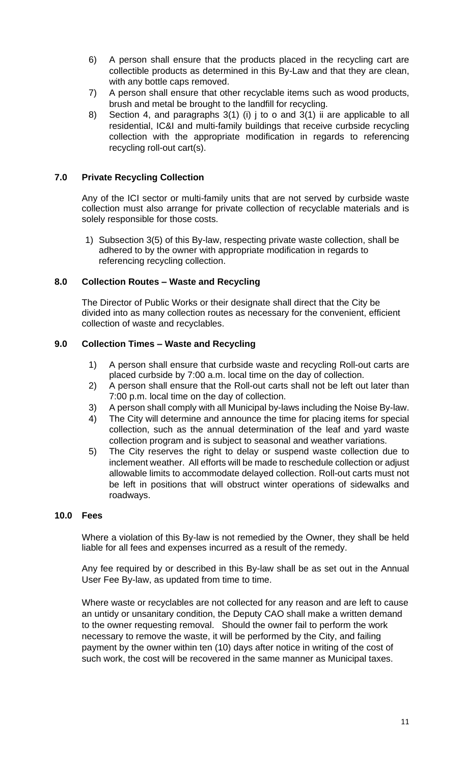- 6) A person shall ensure that the products placed in the recycling cart are collectible products as determined in this By-Law and that they are clean, with any bottle caps removed.
- 7) A person shall ensure that other recyclable items such as wood products, brush and metal be brought to the landfill for recycling.
- 8) Section 4, and paragraphs 3(1) (i) j to o and 3(1) ii are applicable to all residential, IC&I and multi-family buildings that receive curbside recycling collection with the appropriate modification in regards to referencing recycling roll-out cart(s).

#### <span id="page-10-0"></span>**7.0 Private Recycling Collection**

Any of the ICI sector or multi-family units that are not served by curbside waste collection must also arrange for private collection of recyclable materials and is solely responsible for those costs.

1) Subsection 3(5) of this By-law, respecting private waste collection, shall be adhered to by the owner with appropriate modification in regards to referencing recycling collection.

#### <span id="page-10-1"></span>**8.0 Collection Routes – Waste and Recycling**

The Director of Public Works or their designate shall direct that the City be divided into as many collection routes as necessary for the convenient, efficient collection of waste and recyclables.

#### <span id="page-10-2"></span>**9.0 Collection Times – Waste and Recycling**

- 1) A person shall ensure that curbside waste and recycling Roll-out carts are placed curbside by 7:00 a.m. local time on the day of collection.
- 2) A person shall ensure that the Roll-out carts shall not be left out later than 7:00 p.m. local time on the day of collection.
- 3) A person shall comply with all Municipal by-laws including the Noise By-law.
- 4) The City will determine and announce the time for placing items for special collection, such as the annual determination of the leaf and yard waste collection program and is subject to seasonal and weather variations.
- 5) The City reserves the right to delay or suspend waste collection due to inclement weather. All efforts will be made to reschedule collection or adjust allowable limits to accommodate delayed collection. Roll-out carts must not be left in positions that will obstruct winter operations of sidewalks and roadways.

#### <span id="page-10-3"></span>**10.0 Fees**

Where a violation of this By-law is not remedied by the Owner, they shall be held liable for all fees and expenses incurred as a result of the remedy.

Any fee required by or described in this By-law shall be as set out in the Annual User Fee By-law, as updated from time to time.

Where waste or recyclables are not collected for any reason and are left to cause an untidy or unsanitary condition, the Deputy CAO shall make a written demand to the owner requesting removal. Should the owner fail to perform the work necessary to remove the waste, it will be performed by the City, and failing payment by the owner within ten (10) days after notice in writing of the cost of such work, the cost will be recovered in the same manner as Municipal taxes.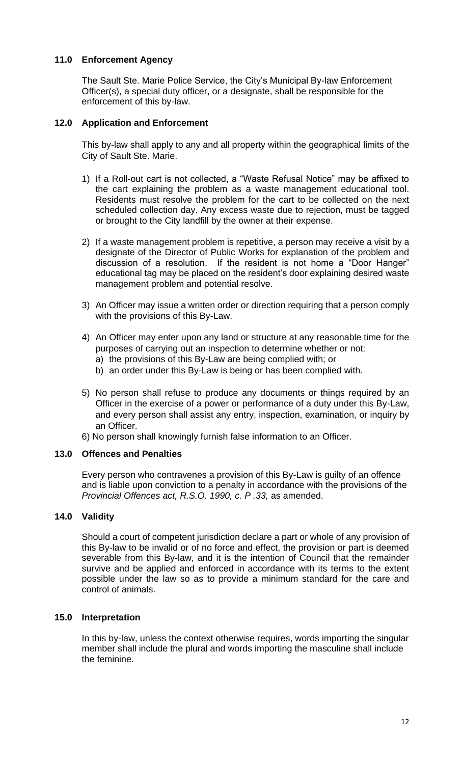#### <span id="page-11-0"></span>**11.0 Enforcement Agency**

The Sault Ste. Marie Police Service, the City's Municipal By-law Enforcement Officer(s), a special duty officer, or a designate, shall be responsible for the enforcement of this by-law.

#### <span id="page-11-1"></span>**12.0 Application and Enforcement**

This by-law shall apply to any and all property within the geographical limits of the City of Sault Ste. Marie.

- 1) If a Roll-out cart is not collected, a "Waste Refusal Notice" may be affixed to the cart explaining the problem as a waste management educational tool. Residents must resolve the problem for the cart to be collected on the next scheduled collection day. Any excess waste due to rejection, must be tagged or brought to the City landfill by the owner at their expense.
- 2) If a waste management problem is repetitive, a person may receive a visit by a designate of the Director of Public Works for explanation of the problem and discussion of a resolution. If the resident is not home a "Door Hanger" educational tag may be placed on the resident's door explaining desired waste management problem and potential resolve.
- 3) An Officer may issue a written order or direction requiring that a person comply with the provisions of this By-Law.
- 4) An Officer may enter upon any land or structure at any reasonable time for the purposes of carrying out an inspection to determine whether or not:
	- a) the provisions of this By-Law are being complied with; or
	- b) an order under this By-Law is being or has been complied with.
- 5) No person shall refuse to produce any documents or things required by an Officer in the exercise of a power or performance of a duty under this By-Law, and every person shall assist any entry, inspection, examination, or inquiry by an Officer.
- 6) No person shall knowingly furnish false information to an Officer.

#### <span id="page-11-2"></span>**13.0 Offences and Penalties**

Every person who contravenes a provision of this By-Law is guilty of an offence and is liable upon conviction to a penalty in accordance with the provisions of the *Provincial Offences act, R.S.O. 1990, c. P .33,* as amended.

#### <span id="page-11-3"></span>**14.0 Validity**

Should a court of competent jurisdiction declare a part or whole of any provision of this By-law to be invalid or of no force and effect, the provision or part is deemed severable from this By-law, and it is the intention of Council that the remainder survive and be applied and enforced in accordance with its terms to the extent possible under the law so as to provide a minimum standard for the care and control of animals.

#### <span id="page-11-4"></span>**15.0 Interpretation**

In this by-law, unless the context otherwise requires, words importing the singular member shall include the plural and words importing the masculine shall include the feminine.